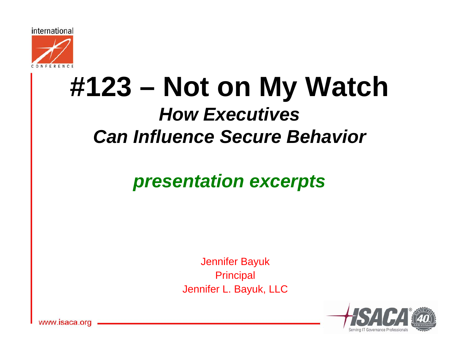

# **#123 – Not on My Watch**  *How Executives Can Influence Secure Behavior*

### *presentation excerpts*

Jennifer Bayuk **Principal** Jennifer L. Bayuk, LLC



ww.isaca.ord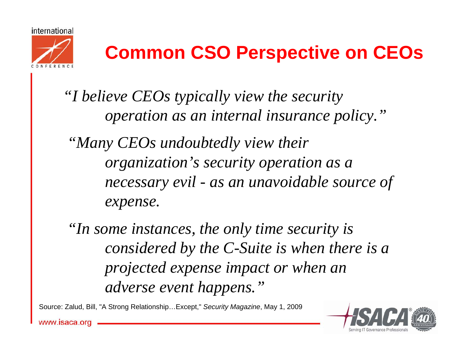



# **Common CSO Perspective on CEOs**

*"I believe CEOs typically view the security operation as an internal insurance policy."*

*"Many CEOs undoubtedly view their organization's security operation as a necessary evil - as an unavoidable source of expense.*

*"In some instances, the only time security is considered by the C-Suite is when there is a projected expense impact or when an adverse event happens."*

Source: Zalud, Bill, "A Strong Relationship…Except," *Security Magazine*, May 1, 2009

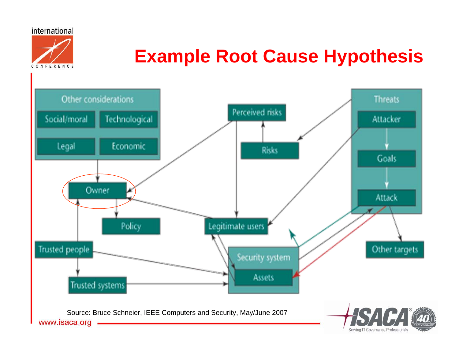international CONFERENCE

## **Example Root Cause Hypothesis**

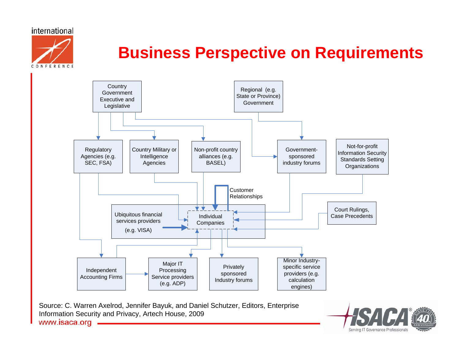

### **Business Perspective on Requirements**



www.isaca.org

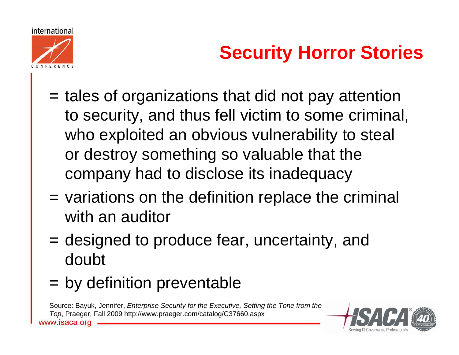



# **Security Horror Stories**

- = tales of organizations that did not pay attention to security, and thus fell victim to some criminal, who exploited an obvious vulnerability to steal or destroy something so valuable that the company had to disclose its inadequacy
- = variations on the definition replace the criminal with an auditor
- = designed to produce fear, uncertainty, and doubt
- = by definition preventable

Source: Bayuk, Jennifer, *Enterprise Security for the Executive, Setting the Tone from the Top*, Praeger, Fall 2009 http://www.praeger.com/catalog/C37660.aspxisaca.ord

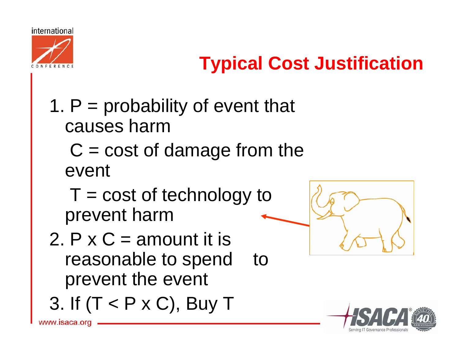

# **Typical Cost Justification**

# 1.  $P =$  probability of event that causes harm

### $C = \text{cost of damage from the}$ event

- $T = \text{cost}$  of technology to prevent harm
- 2.  $P \times C =$  amount it is reasonable to spend to prevent the event
- 3. If (T < P x C), Buy T



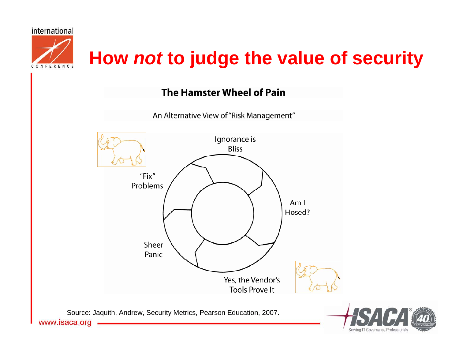

#### **The Hamster Wheel of Pain**

An Alternative View of "Risk Management"



www.isaca.org

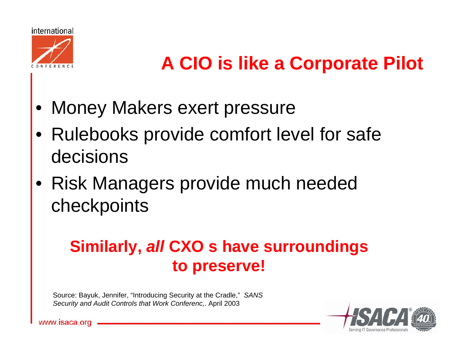

# **A CIO is like a Corporate Pilot**

- Money Makers exert pressure
- Rulebooks provide comfort level for safe decisions
- Risk Managers provide much needed checkpoints

### **Similarly,** *all* **CXO s have surroundings to preserve!**

Source: Bayuk, Jennifer, "Introducing Security at the Cradle," *SANS Security and Audit Controls that Work Conferenc,*. April 2003

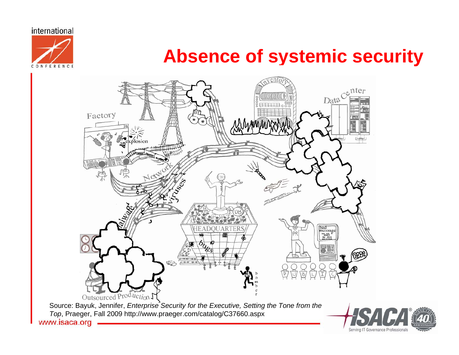

### **Absence of systemic security**

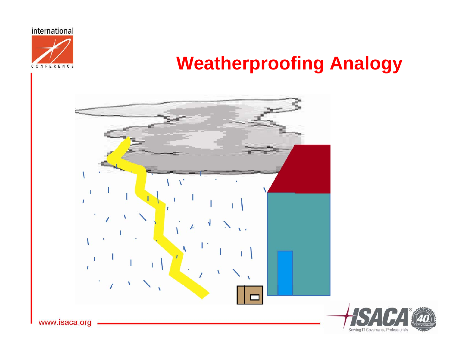

### **Weatherproofing Analogy**



Serving IT Governance Professionals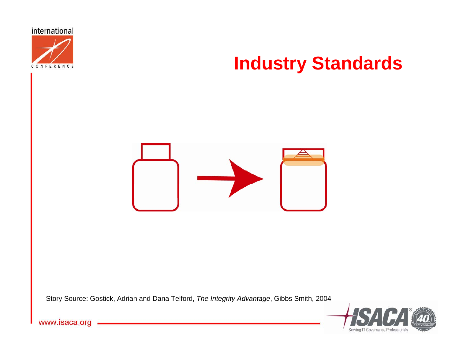

### **Industry Standards**



Story Source: Gostick, Adrian and Dana Telford, *The Integrity Advantage*, Gibbs Smith, 2004



www.isaca.org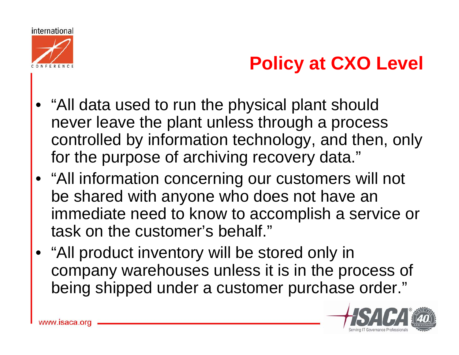

# **Policy at CXO Level**

- "All data used to run the physical plant should never leave the plant unless through a process controlled by information technology, and then, only for the purpose of archiving recovery data."
- "All information concerning our customers will not be shared with anyone who does not have an immediate need to know to accomplish a service or task on the customer's behalf."
- "All product inventory will be stored only in company warehouses unless it is in the process of being shipped under a customer purchase order."

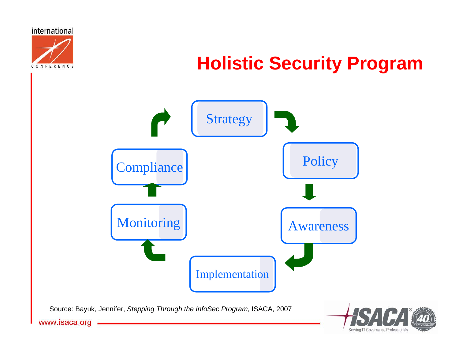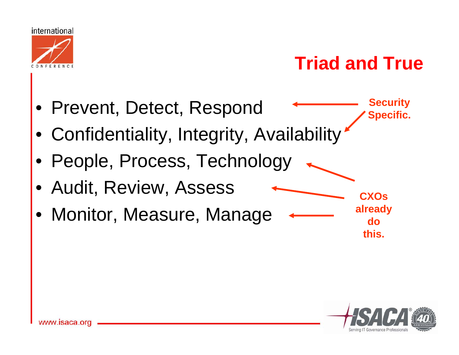

## **Triad and True**

- Prevent, Detect, Respond
- Confidentiality, Integrity, Availability
- People, Process, Technology
- Audit, Review, Assess
- Monitor, Measure, Manage

**CXOs already do this.**

**Security** 

**Specific.**